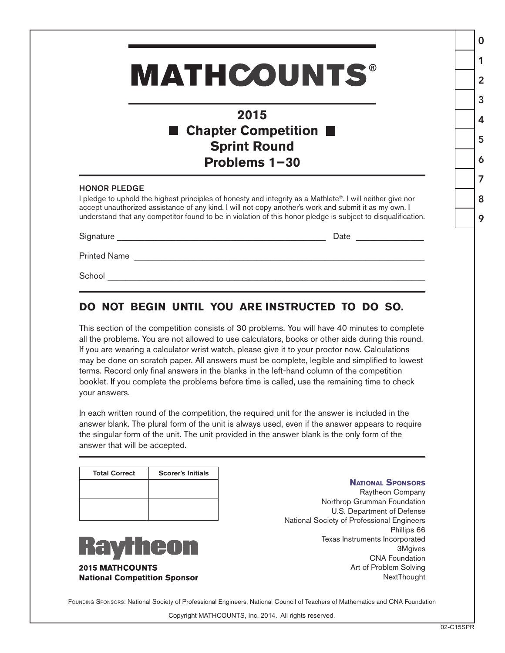# **MATHCOUNTS®**

## **2015** ■ Chapter Competition ■ **Sprint Round Problems 1−30**

#### HONOR PLEDGE

I pledge to uphold the highest principles of honesty and integrity as a Mathlete®. I will neither give nor accept unauthorized assistance of any kind. I will not copy another's work and submit it as my own. I understand that any competitor found to be in violation of this honor pledge is subject to disqualification.

Signature \_\_\_\_\_\_\_\_\_\_\_\_\_\_\_\_\_\_\_\_\_\_\_\_\_\_\_\_\_\_\_\_\_\_\_\_\_\_\_\_\_\_\_\_\_\_ Date \_\_\_\_\_\_\_\_\_\_\_\_\_\_\_

Printed Name \_\_\_\_\_\_\_\_\_\_\_\_\_\_\_\_\_\_\_\_\_\_\_\_\_\_\_\_\_\_\_\_\_\_\_\_\_\_\_\_\_\_\_\_\_\_\_\_\_\_\_\_\_\_\_\_\_\_\_\_\_\_\_\_

School \_\_\_\_\_\_\_\_\_\_\_\_\_\_\_\_\_\_\_\_\_\_\_\_\_\_\_\_\_\_\_\_\_\_\_\_\_\_\_\_\_\_\_\_\_\_\_\_\_\_\_\_\_\_\_\_\_\_\_\_\_\_\_\_\_\_\_\_\_\_

### **DO NOT BEGIN UNTIL YOU ARE INSTRUCTED TO DO SO.**

This section of the competition consists of 30 problems. You will have 40 minutes to complete all the problems. You are not allowed to use calculators, books or other aids during this round. If you are wearing a calculator wrist watch, please give it to your proctor now. Calculations may be done on scratch paper. All answers must be complete, legible and simplified to lowest terms. Record only final answers in the blanks in the left-hand column of the competition booklet. If you complete the problems before time is called, use the remaining time to check your answers.

In each written round of the competition, the required unit for the answer is included in the answer blank. The plural form of the unit is always used, even if the answer appears to require the singular form of the unit. The unit provided in the answer blank is the only form of the answer that will be accepted.

| <b>Total Correct</b> | <b>Scorer's Initials</b> |
|----------------------|--------------------------|
|                      |                          |
|                      |                          |
|                      |                          |



#### **National Sponsors**

Raytheon Company Northrop Grumman Foundation U.S. Department of Defense National Society of Professional Engineers Phillips 66 Texas Instruments Incorporated 3Mgives CNA Foundation Art of Problem Solving **NextThought** 

FOUNDING SPONSORS: National Society of Professional Engineers, National Council of Teachers of Mathematics and CNA Foundation

Copyright MATHCOUNTS, Inc. 2014. All rights reserved.

0

1

2

3

4

5

6

7

8

9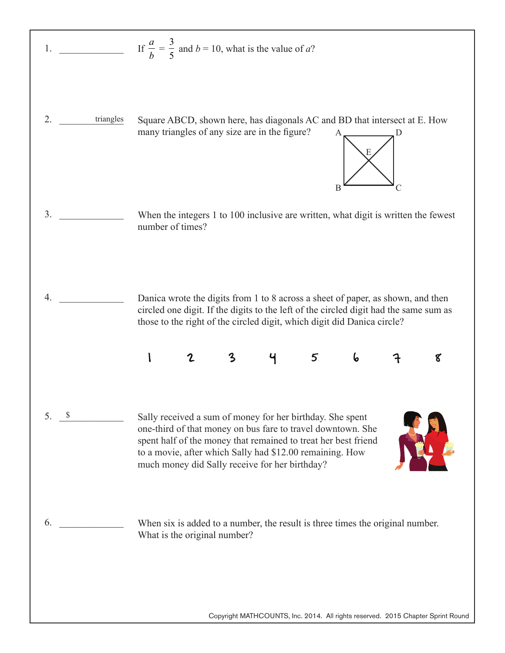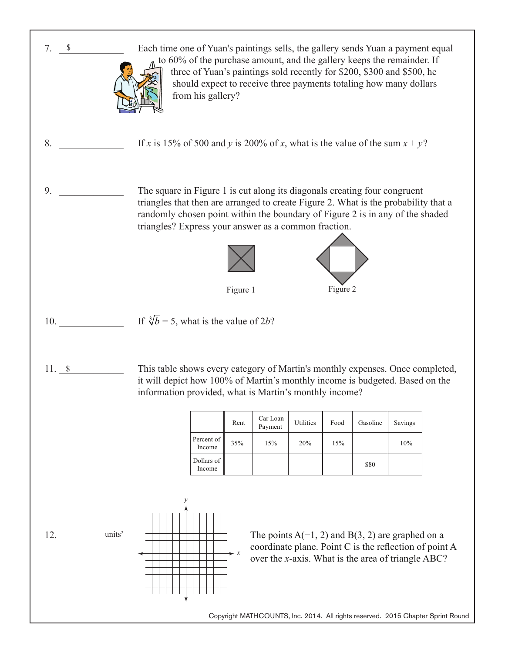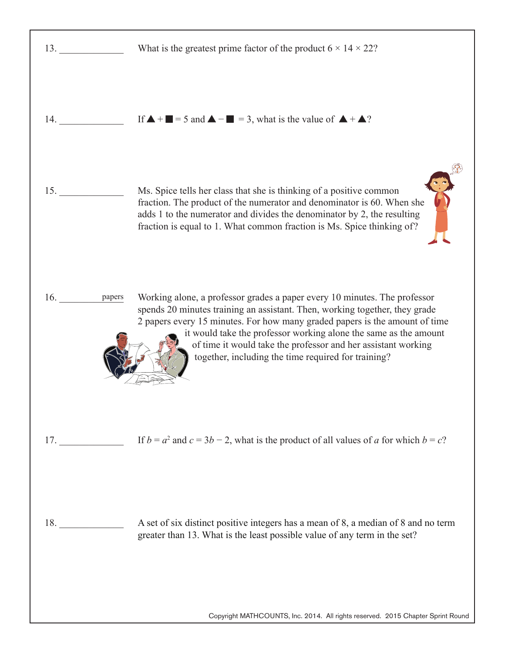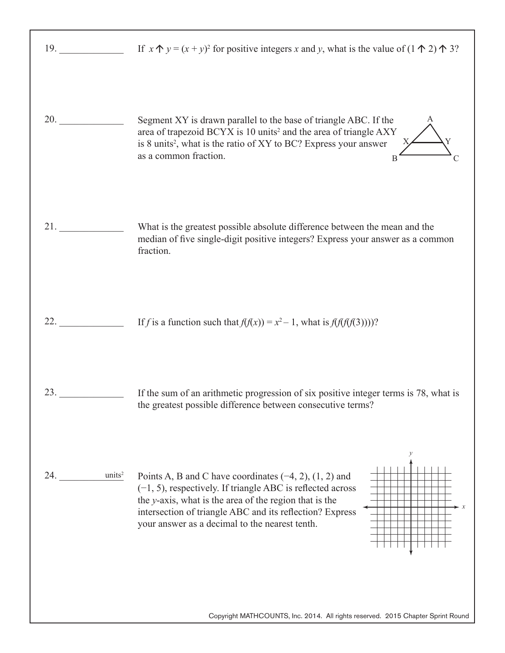| 20.                       | Segment XY is drawn parallel to the base of triangle ABC. If the<br>area of trapezoid BCYX is 10 units <sup>2</sup> and the area of triangle AXY<br>is 8 units <sup>2</sup> , what is the ratio of XY to BC? Express your answer<br>as a common fraction.<br>B                                       |
|---------------------------|------------------------------------------------------------------------------------------------------------------------------------------------------------------------------------------------------------------------------------------------------------------------------------------------------|
| 21.                       | What is the greatest possible absolute difference between the mean and the<br>median of five single-digit positive integers? Express your answer as a common<br>fraction.                                                                                                                            |
| 22.                       | If f is a function such that $f(f(x)) = x^2 - 1$ , what is $f(f(f(f(3))))$ ?                                                                                                                                                                                                                         |
| 23.                       | If the sum of an arithmetic progression of six positive integer terms is 78, what is<br>the greatest possible difference between consecutive terms?                                                                                                                                                  |
| units <sup>2</sup><br>24. | Points A, B and C have coordinates $(-4, 2)$ , $(1, 2)$ and<br>$(-1, 5)$ , respectively. If triangle ABC is reflected across<br>the y-axis, what is the area of the region that is the<br>intersection of triangle ABC and its reflection? Express<br>your answer as a decimal to the nearest tenth. |
|                           | Copyright MATHCOUNTS, Inc. 2014. All rights reserved. 2015 Chapter Sprint Round                                                                                                                                                                                                                      |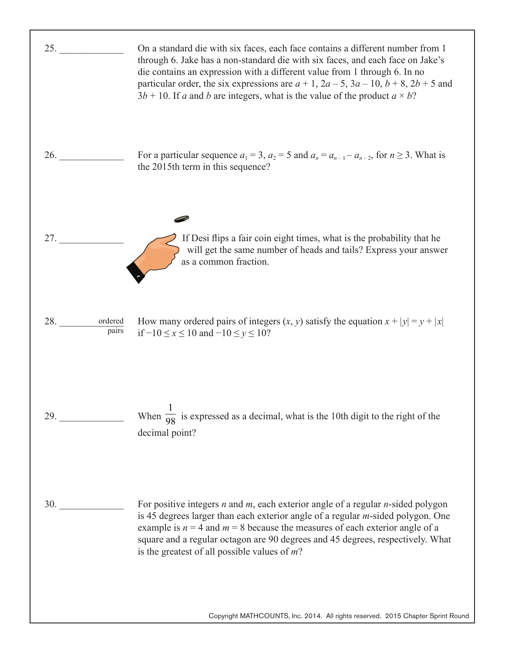